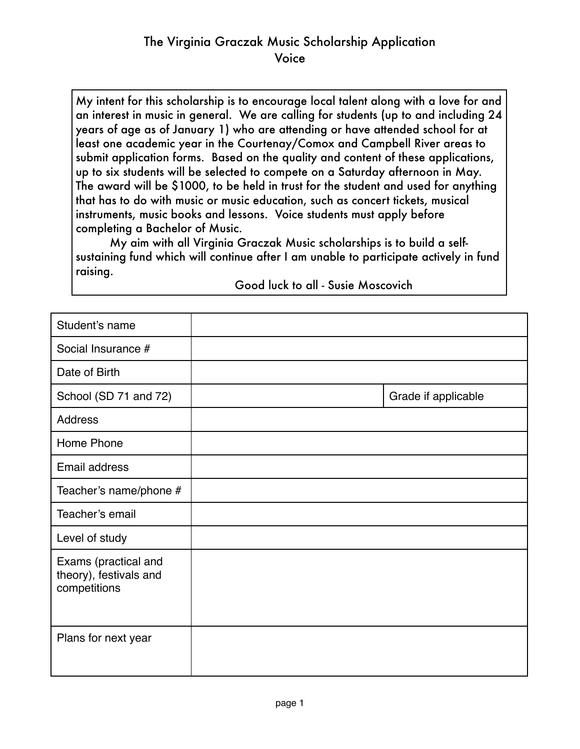# The Virginia Graczak Music Scholarship Application Voice

My intent for this scholarship is to encourage local talent along with a love for and an interest in music in general. We are calling for students (up to and including 24 years of age as of January 1) who are attending or have attended school for at least one academic year in the Courtenay/Comox and Campbell River areas to submit application forms. Based on the quality and content of these applications, up to six students will be selected to compete on a Saturday afternoon in May. The award will be \$1000, to be held in trust for the student and used for anything that has to do with music or music education, such as concert tickets, musical instruments, music books and lessons. Voice students must apply before completing a Bachelor of Music.

My aim with all Virginia Graczak Music scholarships is to build a selfsustaining fund which will continue after I am unable to participate actively in fund raising.

| Student's name                                                 |                     |
|----------------------------------------------------------------|---------------------|
| Social Insurance #                                             |                     |
| Date of Birth                                                  |                     |
| School (SD 71 and 72)                                          | Grade if applicable |
| <b>Address</b>                                                 |                     |
| Home Phone                                                     |                     |
| Email address                                                  |                     |
| Teacher's name/phone #                                         |                     |
| Teacher's email                                                |                     |
| Level of study                                                 |                     |
| Exams (practical and<br>theory), festivals and<br>competitions |                     |
| Plans for next year                                            |                     |

 Good luck to all - Susie Moscovich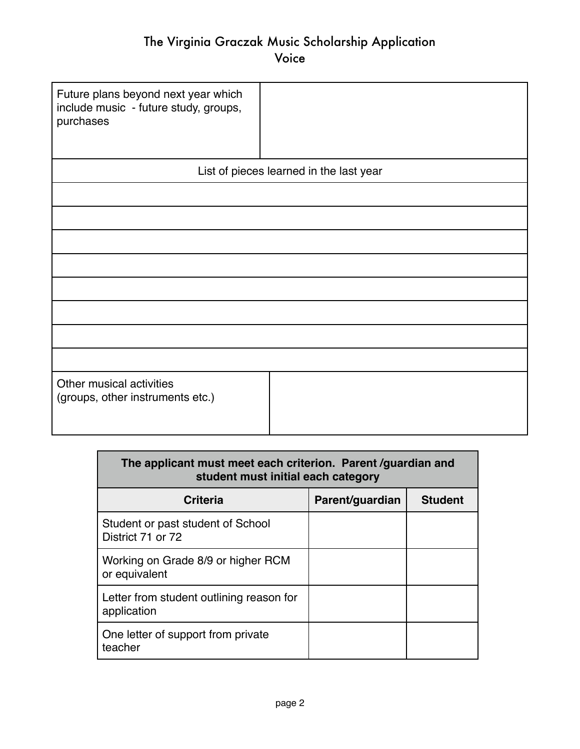# The Virginia Graczak Music Scholarship Application Voice

| Future plans beyond next year which<br>include music - future study, groups,<br>purchases |  |  |  |  |
|-------------------------------------------------------------------------------------------|--|--|--|--|
| List of pieces learned in the last year                                                   |  |  |  |  |
|                                                                                           |  |  |  |  |
|                                                                                           |  |  |  |  |
|                                                                                           |  |  |  |  |
|                                                                                           |  |  |  |  |
|                                                                                           |  |  |  |  |
|                                                                                           |  |  |  |  |
|                                                                                           |  |  |  |  |
|                                                                                           |  |  |  |  |
| Other musical activities<br>(groups, other instruments etc.)                              |  |  |  |  |

| The applicant must meet each criterion. Parent /guardian and<br>student must initial each category |                 |                |  |  |  |
|----------------------------------------------------------------------------------------------------|-----------------|----------------|--|--|--|
| <b>Criteria</b>                                                                                    | Parent/guardian | <b>Student</b> |  |  |  |
| Student or past student of School<br>District 71 or 72                                             |                 |                |  |  |  |
| Working on Grade 8/9 or higher RCM<br>or equivalent                                                |                 |                |  |  |  |
| Letter from student outlining reason for<br>application                                            |                 |                |  |  |  |
| One letter of support from private<br>teacher                                                      |                 |                |  |  |  |